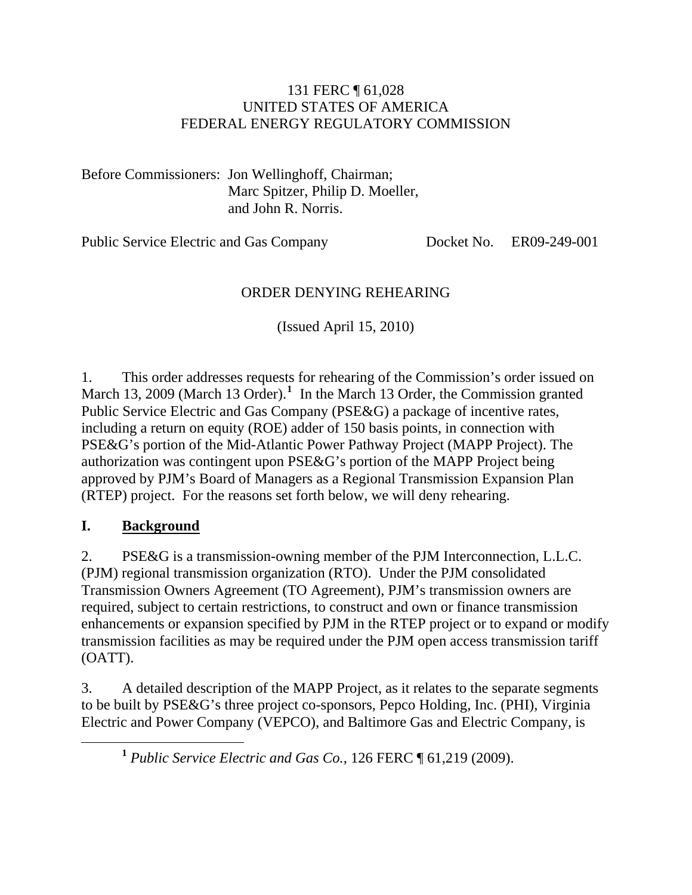#### 131 FERC ¶ 61,028 UNITED STATES OF AMERICA FEDERAL ENERGY REGULATORY COMMISSION

Before Commissioners: Jon Wellinghoff, Chairman; Marc Spitzer, Philip D. Moeller, and John R. Norris.

Public Service Electric and Gas Company Docket No. ER09-249-001

#### ORDER DENYING REHEARING

(Issued April 15, 2010)

1. This order addresses requests for rehearing of the Commission's order issued on March [1](#page-0-0)3, 2009 (March 13 Order).<sup>1</sup> In the March 13 Order, the Commission granted Public Service Electric and Gas Company (PSE&G) a package of incentive rates, including a return on equity (ROE) adder of 150 basis points, in connection with PSE&G's portion of the Mid-Atlantic Power Pathway Project (MAPP Project). The authorization was contingent upon PSE&G's portion of the MAPP Project being approved by PJM's Board of Managers as a Regional Transmission Expansion Plan (RTEP) project. For the reasons set forth below, we will deny rehearing.

#### **I. Background**

2. PSE&G is a transmission-owning member of the PJM Interconnection, L.L.C. (PJM) regional transmission organization (RTO). Under the PJM consolidated Transmission Owners Agreement (TO Agreement), PJM's transmission owners are required, subject to certain restrictions, to construct and own or finance transmission enhancements or expansion specified by PJM in the RTEP project or to expand or modify transmission facilities as may be required under the PJM open access transmission tariff (OATT).

<span id="page-0-0"></span>3. A detailed description of the MAPP Project, as it relates to the separate segments to be built by PSE&G's three project co-sponsors, Pepco Holding, Inc. (PHI), Virginia Electric and Power Company (VEPCO), and Baltimore Gas and Electric Company, is

**<sup>1</sup>** *Public Service Electric and Gas Co.*, 126 FERC ¶ 61,219 (2009).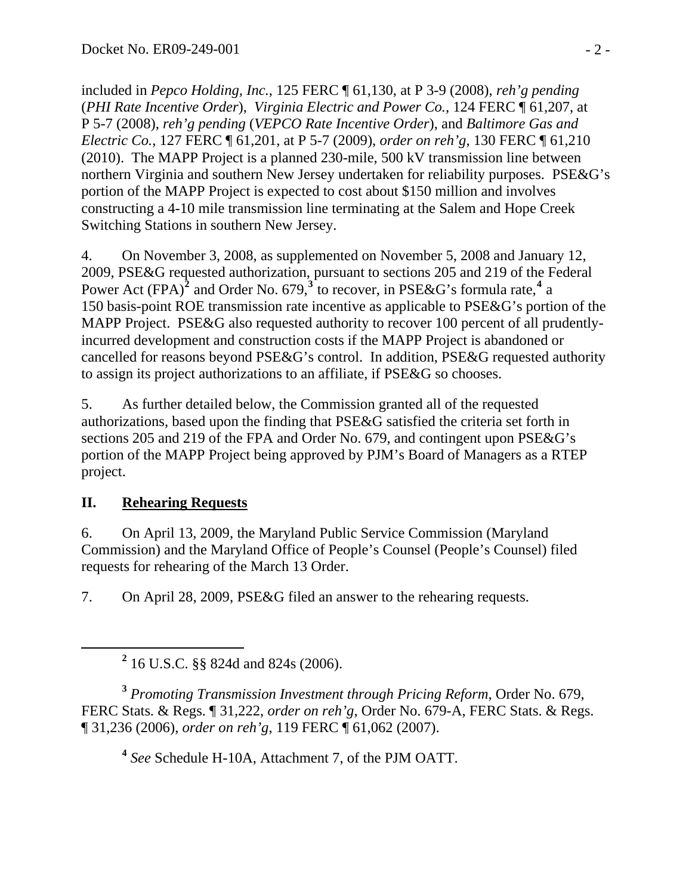included in *Pepco Holding, Inc.*, 125 FERC ¶ 61,130, at P 3-9 (2008), *reh'g pending* (*PHI Rate Incentive Order*), *Virginia Electric and Power Co.*, 124 FERC ¶ 61,207, at P 5-7 (2008), *reh'g pending* (*VEPCO Rate Incentive Order*), and *Baltimore Gas and Electric Co.*, 127 FERC ¶ 61,201, at P 5-7 (2009), *order on reh'g*, 130 FERC ¶ 61,210 (2010). The MAPP Project is a planned 230-mile, 500 kV transmission line between northern Virginia and southern New Jersey undertaken for reliability purposes. PSE&G's portion of the MAPP Project is expected to cost about \$150 million and involves constructing a 4-10 mile transmission line terminating at the Salem and Hope Creek Switching Stations in southern New Jersey.

4. On November 3, 2008, as supplemented on November 5, 2008 and January 12, 2009, PSE&G requested authorization, pursuant to sections 205 and 219 of the Federal Power Act (FPA)<sup>[2](#page-1-0)</sup> and Order No. 679,<sup>[3](#page-1-1)</sup> to recover, in PSE&G's formula rate,<sup>[4](#page-1-2)</sup> a 150 basis-point ROE transmission rate incentive as applicable to PSE&G's portion of the MAPP Project. PSE&G also requested authority to recover 100 percent of all prudentlyincurred development and construction costs if the MAPP Project is abandoned or cancelled for reasons beyond PSE&G's control. In addition, PSE&G requested authority to assign its project authorizations to an affiliate, if PSE&G so chooses.

5. As further detailed below, the Commission granted all of the requested authorizations, based upon the finding that PSE&G satisfied the criteria set forth in sections 205 and 219 of the FPA and Order No. 679, and contingent upon PSE&G's portion of the MAPP Project being approved by PJM's Board of Managers as a RTEP project.

## **II. Rehearing Requests**

6. On April 13, 2009, the Maryland Public Service Commission (Maryland Commission) and the Maryland Office of People's Counsel (People's Counsel) filed requests for rehearing of the March 13 Order.

7. On April 28, 2009, PSE&G filed an answer to the rehearing requests.

<span id="page-1-2"></span><span id="page-1-1"></span>**<sup>3</sup>** *Promoting Transmission Investment through Pricing Reform*, Order No. 679, FERC Stats. & Regs. ¶ 31,222, *order on reh'g*, Order No. 679-A, FERC Stats. & Regs. ¶ 31,236 (2006), *order on reh'g*, 119 FERC ¶ 61,062 (2007).

**<sup>4</sup>** *See* Schedule H-10A, Attachment 7, of the PJM OATT.

<span id="page-1-0"></span>**<sup>2</sup>** 16 U.S.C. §§ 824d and 824s (2006).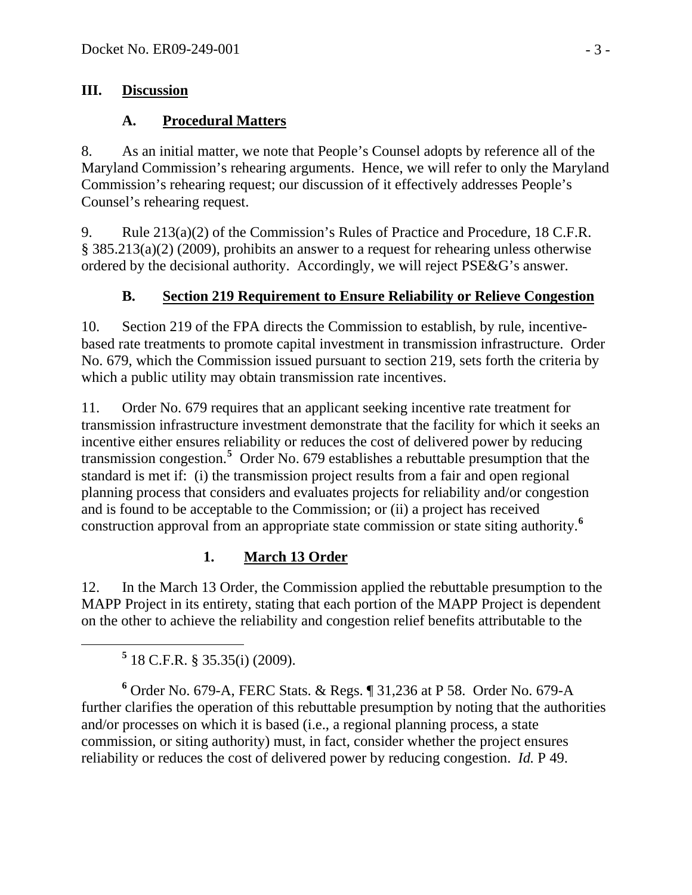#### **III. Discussion**

## **A. Procedural Matters**

8. As an initial matter, we note that People's Counsel adopts by reference all of the Maryland Commission's rehearing arguments. Hence, we will refer to only the Maryland Commission's rehearing request; our discussion of it effectively addresses People's Counsel's rehearing request.

9. Rule 213(a)(2) of the Commission's Rules of Practice and Procedure, 18 C.F.R. § 385.213(a)(2) (2009), prohibits an answer to a request for rehearing unless otherwise ordered by the decisional authority. Accordingly, we will reject PSE&G's answer.

## **B. Section 219 Requirement to Ensure Reliability or Relieve Congestion**

10. Section 219 of the FPA directs the Commission to establish, by rule, incentivebased rate treatments to promote capital investment in transmission infrastructure. Order No. 679, which the Commission issued pursuant to section 219, sets forth the criteria by which a public utility may obtain transmission rate incentives.

11. Order No. 679 requires that an applicant seeking incentive rate treatment for transmission infrastructure investment demonstrate that the facility for which it seeks an incentive either ensures reliability or reduces the cost of delivered power by reducing transmission congestion.**[5](#page-2-0)** Order No. 679 establishes a rebuttable presumption that the standard is met if: (i) the transmission project results from a fair and open regional planning process that considers and evaluates projects for reliability and/or congestion and is found to be acceptable to the Commission; or (ii) a project has received construction approval from an appropriate state commission or state siting authority.**[6](#page-2-1)**

## **1. March 13 Order**

12. In the March 13 Order, the Commission applied the rebuttable presumption to the MAPP Project in its entirety, stating that each portion of the MAPP Project is dependent on the other to achieve the reliability and congestion relief benefits attributable to the

<span id="page-2-0"></span> $\frac{5}{18 \text{ C.F.R. } § 35.35(i) (2009).}$ 

<span id="page-2-1"></span>**6** Order No. 679-A, FERC Stats. & Regs. ¶ 31,236 at P 58. Order No. 679-A further clarifies the operation of this rebuttable presumption by noting that the authorities and/or processes on which it is based (i.e., a regional planning process, a state commission, or siting authority) must, in fact, consider whether the project ensures reliability or reduces the cost of delivered power by reducing congestion. *Id.* P 49.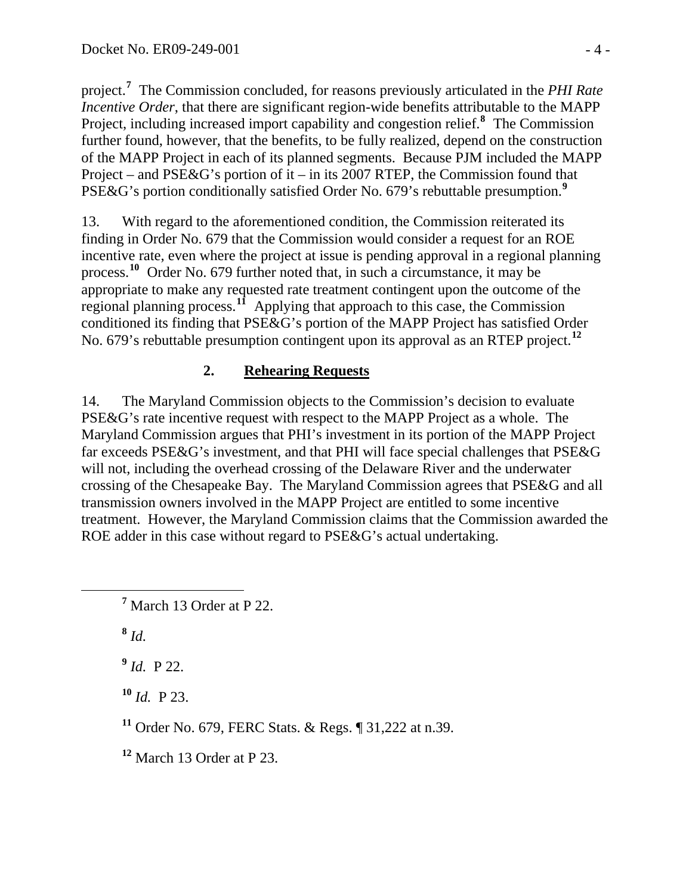project.**<sup>7</sup>** The Commission concluded, for reasons previously articulated in the *PHI Rate Incentive Order*, that there are significant region-wide benefits attributable to the MAPP Project, including increased import capability and congestion relief.**<sup>8</sup>** The Commission further found, however, that the benefits, to be fully realized, depend on the construction of the MAPP Project in each of its planned segments. Because PJM included the MAPP Project – and PSE&G's portion of it – in its 2007 RTEP, the Commission found that PSE&G's portion conditionally satisfied Order No. 679's rebuttable presumption.**<sup>9</sup>**

13. With regard to the aforementioned condition, the Commission reiterated its finding in Order No. 679 that the Commission would consider a request for an ROE incentive rate, even where the project at issue is pending approval in a regional planning process.**[10](#page-3-0)** Order No. 679 further noted that, in such a circumstance, it may be appropriate to make any requested rate treatment contingent upon the outcome of the regional planning process.**[11](#page-3-1)** Applying that approach to this case, the Commission conditioned its finding that PSE&G's portion of the MAPP Project has satisfied Order No. 679's rebuttable presumption contingent upon its approval as an RTEP project.**[12](#page-3-2)**

## **2. Rehearing Requests**

14. The Maryland Commission objects to the Commission's decision to evaluate PSE&G's rate incentive request with respect to the MAPP Project as a whole. The Maryland Commission argues that PHI's investment in its portion of the MAPP Project far exceeds PSE&G's investment, and that PHI will face special challenges that PSE&G will not, including the overhead crossing of the Delaware River and the underwater crossing of the Chesapeake Bay. The Maryland Commission agrees that PSE&G and all transmission owners involved in the MAPP Project are entitled to some incentive treatment. However, the Maryland Commission claims that the Commission awarded the ROE adder in this case without regard to PSE&G's actual undertaking.

**<sup>8</sup>** *Id.*

**<sup>9</sup>** *Id.* P 22.

<span id="page-3-0"></span>**<sup>10</sup>** *Id.* P 23.

<span id="page-3-1"></span>**<sup>11</sup>** Order No. 679, FERC Stats. & Regs. ¶ 31,222 at n.39.

<span id="page-3-2"></span>**<sup>12</sup>** March 13 Order at P 23.

**<sup>7</sup>** <sup>7</sup> March 13 Order at P 22.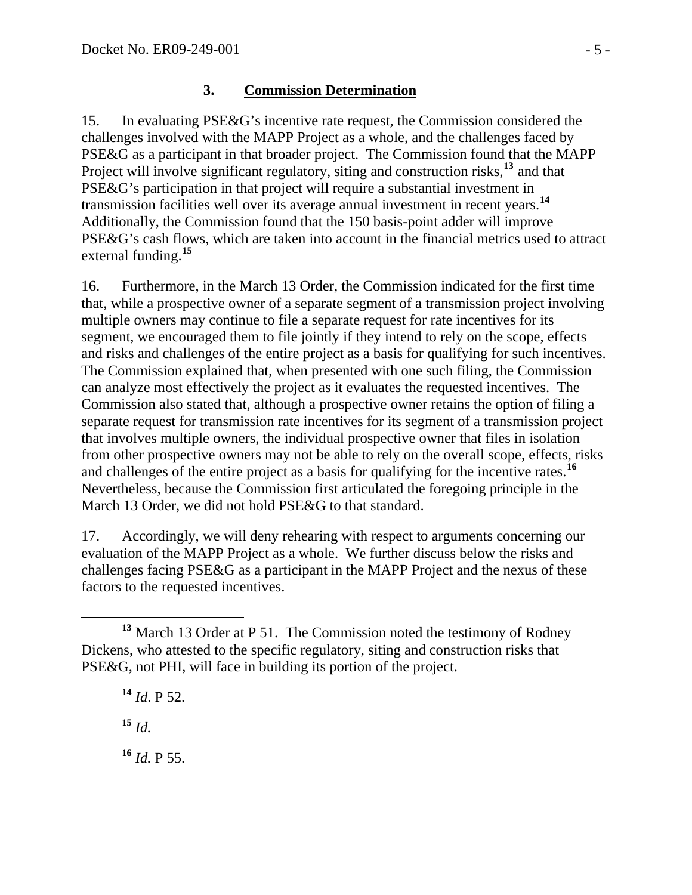### **3. Commission Determination**

15. In evaluating PSE&G's incentive rate request, the Commission considered the challenges involved with the MAPP Project as a whole, and the challenges faced by PSE&G as a participant in that broader project. The Commission found that the MAPP Project will involve significant regulatory, siting and construction risks,<sup>[13](#page-4-0)</sup> and that PSE&G's participation in that project will require a substantial investment in transmission facilities well over its average annual investment in recent years.**[14](#page-4-1)** Additionally, the Commission found that the 150 basis-point adder will improve PSE&G's cash flows, which are taken into account in the financial metrics used to attract external funding.**[15](#page-4-2)**

16. Furthermore, in the March 13 Order, the Commission indicated for the first time that, while a prospective owner of a separate segment of a transmission project involving multiple owners may continue to file a separate request for rate incentives for its segment, we encouraged them to file jointly if they intend to rely on the scope, effects and risks and challenges of the entire project as a basis for qualifying for such incentives. The Commission explained that, when presented with one such filing, the Commission can analyze most effectively the project as it evaluates the requested incentives. The Commission also stated that, although a prospective owner retains the option of filing a separate request for transmission rate incentives for its segment of a transmission project that involves multiple owners, the individual prospective owner that files in isolation from other prospective owners may not be able to rely on the overall scope, effects, risks and challenges of the entire project as a basis for qualifying for the incentive rates.**[16](#page-4-3)** Nevertheless, because the Commission first articulated the foregoing principle in the March 13 Order, we did not hold PSE&G to that standard.

17. Accordingly, we will deny rehearing with respect to arguments concerning our evaluation of the MAPP Project as a whole. We further discuss below the risks and challenges facing PSE&G as a participant in the MAPP Project and the nexus of these factors to the requested incentives.

**<sup>14</sup>** *Id*. P 52.

<span id="page-4-2"></span>**<sup>15</sup>** *Id.*

<span id="page-4-3"></span>**<sup>16</sup>** *Id.* P 55.

<span id="page-4-1"></span><span id="page-4-0"></span>**<sup>13</sup>** March 13 Order at P 51. The Commission noted the testimony of Rodney Dickens, who attested to the specific regulatory, siting and construction risks that PSE&G, not PHI, will face in building its portion of the project.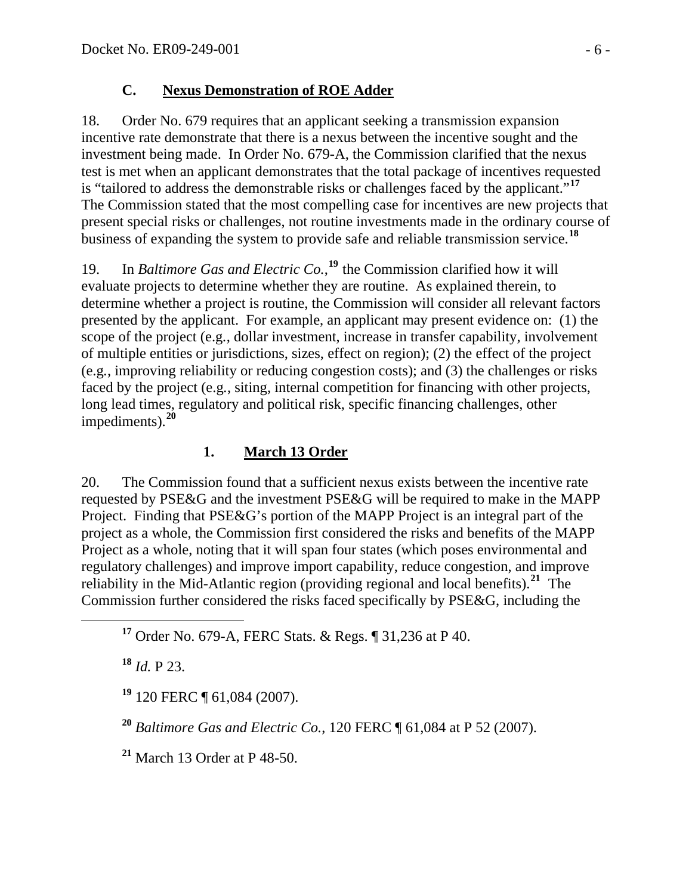### **C. Nexus Demonstration of ROE Adder**

18. Order No. 679 requires that an applicant seeking a transmission expansion incentive rate demonstrate that there is a nexus between the incentive sought and the investment being made. In Order No. 679-A, the Commission clarified that the nexus test is met when an applicant demonstrates that the total package of incentives requested is "tailored to address the demonstrable risks or challenges faced by the applicant."**[17](#page-5-0)** The Commission stated that the most compelling case for incentives are new projects t hat present special risks or challenges, not routine investments made in the ordinary course of business of expanding the system to provide safe and reliable transmission service. **[18](#page-5-1)**

scope of the project (e.g., dollar investment, increase in transfer capability, involvement long lead times, regulatory and political risk, specific financing challenges, other [19](#page-5-2). In *Baltimore Gas and Electric Co.*,<sup>19</sup> the Commission clarified how it will evaluate projects to determine whether they are routine. As explained therein, to determine whether a project is routine, the Commission will consider all relevant factors presented by the applicant. For example, an applicant may present evidence on: (1) the of multiple entities or jurisdictions, sizes, effect on region); (2) the effect of the project (e.g*.*, improving reliability or reducing congestion costs); and (3) the challenges or risks faced by the project (e.g., siting, internal competition for financing with other projects, impediments).**[20](#page-5-3)**

# **1. March 13 Order**

20. The Commission found that a sufficient nexus exists between the incentive rate requested by PSE&G and the investment PSE&G will be required to make in the MAPP Project. Finding that PSE&G's portion of the MAPP Project is an integral part of the project as a whole, the Commission first considered the risks and benefits of the MAPP Project as a whole, noting that it will span four states (which poses environmental and regulatory challenges) and improve import capability, reduce congestion, and improve reliability in the Mid-Atlantic region (providing regional and local benefits).**[21](#page-5-4)** The Commission further considered the risks faced specifically by PSE&G, including the

<span id="page-5-1"></span>**<sup>18</sup>** *Id.* P 23.

<span id="page-5-2"></span>**<sup>19</sup>** 120 FERC ¶ 61,084 (2007).

<span id="page-5-3"></span>**<sup>20</sup>** *Baltimore Gas and Electric Co.*, 120 FERC ¶ 61,084 at P 52 (2007).

<span id="page-5-4"></span>**<sup>21</sup>** March 13 Order at P 48-50.

<span id="page-5-0"></span>**<sup>17</sup>** Order No. 679-A, FERC Stats. & Regs. ¶ 31,236 at P 40.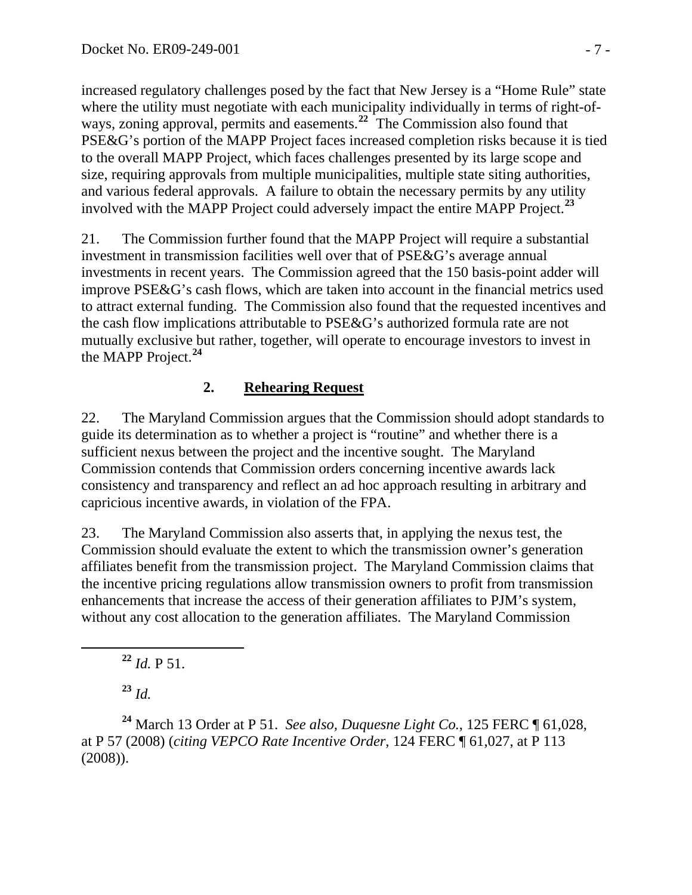increased regulatory challenges posed by the fact that New Jersey is a "Home Rule" state where the utility must negotiate with each municipality individually in terms of right-ofways, zoning approval, permits and easements.<sup>22</sup> The Commission also found that PSE&G's portion of the MAPP Project faces increased completion risks because it is tied to the overall MAPP Project, which faces challenges presented by its large scope and size, requiring approvals from multiple municipalities, multiple state siting authorities, and various federal approvals. A failure to obtain the necessary permits by any utility involved with the MAPP Project could adversely impact the entire MAPP Project.**<sup>23</sup>**

21. The Commission further found that the MAPP Project will require a substantial investment in transmission facilities well over that of PSE&G's average annual investments in recent years. The Commission agreed that the 150 basis-point adder will improve PSE&G's cash flows, which are taken into account in the financial metrics used to attract external funding. The Commission also found that the requested incentives and the cash flow implications attributable to PSE&G's authorized formula rate are not mutually exclusive but rather, together, will operate to encourage investors to invest in the MAPP Project.**[24](#page-6-0)**

## **2. Rehearing Request**

22. The Maryland Commission argues that the Commission should adopt standards to guide its determination as to whether a project is "routine" and whether there is a sufficient nexus between the project and the incentive sought. The Maryland Commission contends that Commission orders concerning incentive awards lack consistency and transparency and reflect an ad hoc approach resulting in arbitrary and capricious incentive awards, in violation of the FPA.

23. The Maryland Commission also asserts that, in applying the nexus test, the Commission should evaluate the extent to which the transmission owner's generation affiliates benefit from the transmission project. The Maryland Commission claims that the incentive pricing regulations allow transmission owners to profit from transmission enhancements that increase the access of their generation affiliates to PJM's system, without any cost allocation to the generation affiliates. The Maryland Commission

**<sup>22</sup>** *Id.* P 51.

**<sup>23</sup>** *Id.*

<span id="page-6-0"></span>**<sup>24</sup>** March 13 Order at P 51. *See also, Duquesne Light Co.*, 125 FERC ¶ 61,028, at P 57 (2008) (*citing VEPCO Rate Incentive Order*, 124 FERC ¶ 61,027, at P 113 (2008)).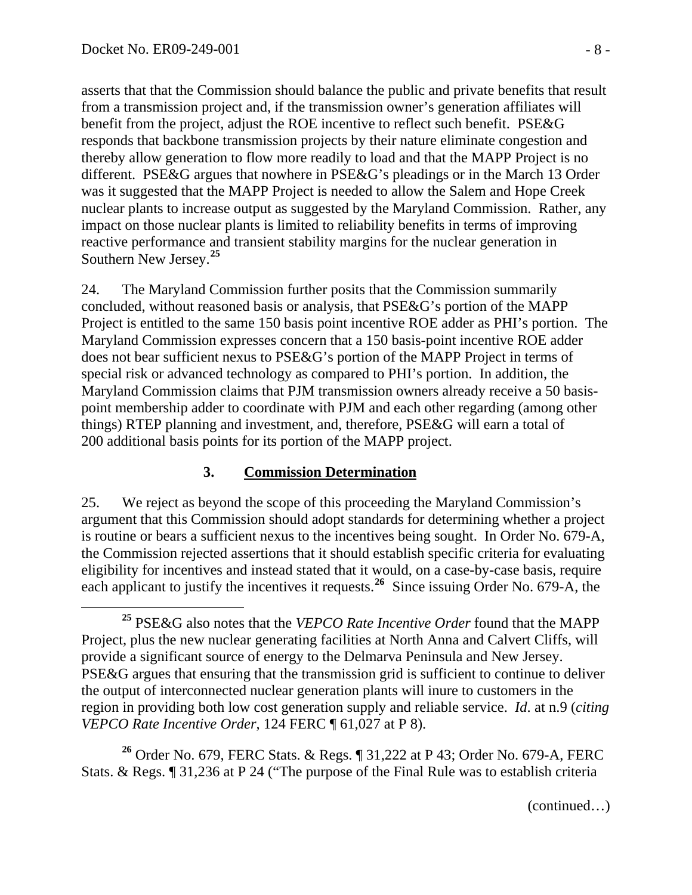$\overline{a}$ 

asserts that that the Commission should balance the public and private benefits that result from a transmission project and, if the transmission owner's generation affiliates will benefit from the project, adjust the ROE incentive to reflect such benefit. PSE&G responds that backbone transmission projects by their nature eliminate congestion and thereby allow generation to flow more readily to load and that the MAPP Project is no different. PSE&G argues that nowhere in PSE&G's pleadings or in the March 13 Order was it suggested that the MAPP Project is needed to allow the Salem and Hope Creek nuclear plants to increase output as suggested by the Maryland Commission. Rather, any impact on those nuclear plants is limited to reliability benefits in terms of improving reactive performance and transient stability margins for the nuclear generation in Southern New Jersey.**<sup>25</sup>**

24. The Maryland Commission further posits that the Commission summarily concluded, without reasoned basis or analysis, that PSE&G's portion of the MAPP Project is entitled to the same 150 basis point incentive ROE adder as PHI's portion. The Maryland Commission expresses concern that a 150 basis-point incentive ROE adder does not bear sufficient nexus to PSE&G's portion of the MAPP Project in terms of special risk or advanced technology as compared to PHI's portion. In addition, the Maryland Commission claims that PJM transmission owners already receive a 50 basispoint membership adder to coordinate with PJM and each other regarding (among other things) RTEP planning and investment, and, therefore, PSE&G will earn a total of 200 additional basis points for its portion of the MAPP project.

### **3. Commission Determination**

25. We reject as beyond the scope of this proceeding the Maryland Commission's argument that this Commission should adopt standards for determining whether a project is routine or bears a sufficient nexus to the incentives being sought. In Order No. 679-A, the Commission rejected assertions that it should establish specific criteria for evaluating eligibility for incentives and instead stated that it would, on a case-by-case basis, require each applicant to justify the incentives it requests.**[26](#page-7-0)** Since issuing Order No. 679-A, the

<span id="page-7-0"></span>**<sup>26</sup>** Order No. 679, FERC Stats. & Regs. ¶ 31,222 at P 43; Order No. 679-A, FERC Stats. & Regs. ¶ 31,236 at P 24 ("The purpose of the Final Rule was to establish criteria

**<sup>25</sup>** PSE&G also notes that the *VEPCO Rate Incentive Order* found that the MAPP Project, plus the new nuclear generating facilities at North Anna and Calvert Cliffs, will provide a significant source of energy to the Delmarva Peninsula and New Jersey. PSE&G argues that ensuring that the transmission grid is sufficient to continue to deliver the output of interconnected nuclear generation plants will inure to customers in the region in providing both low cost generation supply and reliable service. *Id*. at n.9 (*citing VEPCO Rate Incentive Order*, 124 FERC ¶ 61,027 at P 8).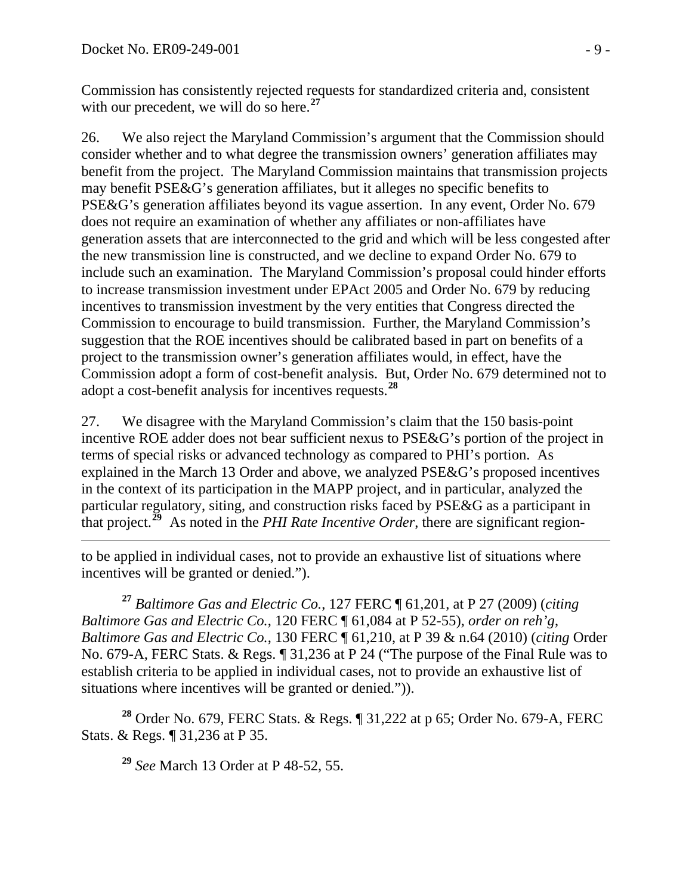Commission has consistently rejected requests for standardized criteria and, consistent with our precedent, we will do so here.<sup>27</sup>

26. We also reject the Maryland Commission's argument that the Commission should consider whether and to what degree the transmission owners' generation affiliates may benefit from the project. The Maryland Commission maintains that transmission projects may benefit PSE&G's generation affiliates, but it alleges no specific benefits to PSE&G's generation affiliates beyond its vague assertion. In any event, Order No. 679 does not require an examination of whether any affiliates or non-affiliates have generation assets that are interconnected to the grid and which will be less congested after the new transmission line is constructed, and we decline to expand Order No. 679 to include such an examination. The Maryland Commission's proposal could hinder efforts to increase transmission investment under EPAct 2005 and Order No. 679 by reducing incentives to transmission investment by the very entities that Congress directed the Commission to encourage to build transmission. Further, the Maryland Commission's suggestion that the ROE incentives should be calibrated based in part on benefits of a project to the transmission owner's generation affiliates would, in effect, have the Commission adopt a form of cost-benefit analysis. But, Order No. 679 determined not to adopt a cost-benefit analysis for incentives requests.**[28](#page-8-0)**

27. We disagree with the Maryland Commission's claim that the 150 basis-point incentive ROE adder does not bear sufficient nexus to PSE&G's portion of the project in terms of special risks or advanced technology as compared to PHI's portion. As explained in the March 13 Order and above, we analyzed PSE&G's proposed incentives in the context of its participation in the MAPP project, and in particular, analyzed the particular regulatory, siting, and construction risks faced by PSE&G as a participant in that project.<sup> $\overline{29}$  $\overline{29}$  $\overline{29}$ </sup> As noted in the *PHI Rate Incentive Order*, there are significant region-

 $\overline{a}$ to be applied in individual cases, not to provide an exhaustive list of situations where incentives will be granted or denied.").

**<sup>27</sup>** *Baltimore Gas and Electric Co.*, 127 FERC ¶ 61,201, at P 27 (2009) (*citing Baltimore Gas and Electric Co.*, 120 FERC ¶ 61,084 at P 52-55), *order on reh'g*, *Baltimore Gas and Electric Co.*, 130 FERC ¶ 61,210, at P 39 & n.64 (2010) (*citing* Order No. 679-A, FERC Stats. & Regs. ¶ 31,236 at P 24 ("The purpose of the Final Rule was to establish criteria to be applied in individual cases, not to provide an exhaustive list of situations where incentives will be granted or denied.")).

<span id="page-8-1"></span><span id="page-8-0"></span>**<sup>28</sup>** Order No. 679, FERC Stats. & Regs. ¶ 31,222 at p 65; Order No. 679-A, FERC Stats. & Regs. ¶ 31,236 at P 35.

**<sup>29</sup>** *See* March 13 Order at P 48-52, 55.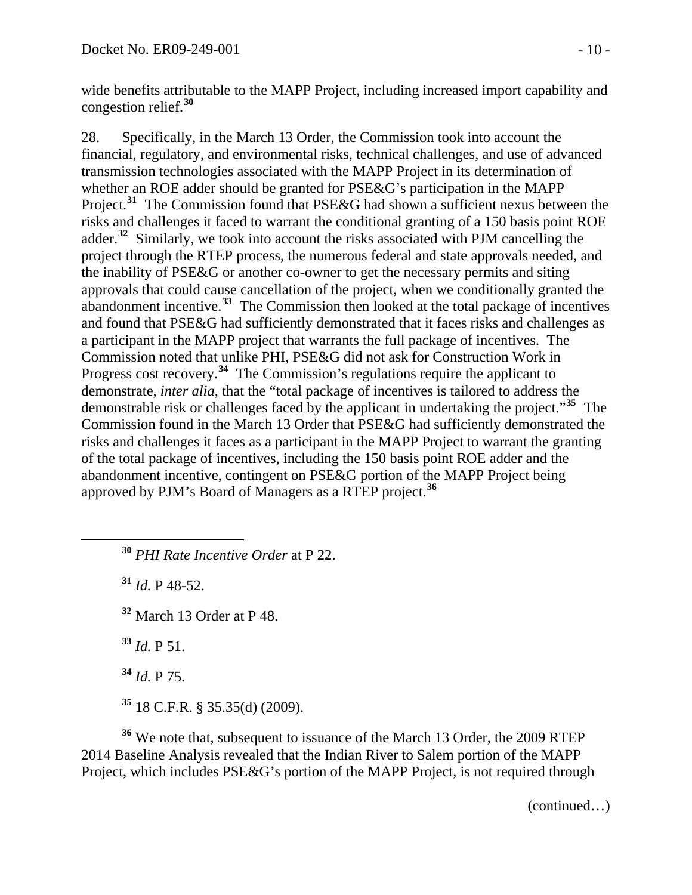wide benefits attributable to the MAPP Project, including increased import capability and congestion relief.**<sup>30</sup>**

28. Specifically, in the March 13 Order, the Commission took into account the financial, regulatory, and environmental risks, technical challenges, and use of advanced transmission technologies associated with the MAPP Project in its determination of whether an ROE adder should be granted for PSE&G's participation in the MAPP Project.<sup>[31](#page-9-0)</sup> The Commission found that PSE&G had shown a sufficient nexus between the risks and challenges it faced to warrant the conditional granting of a 150 basis point ROE adder.**[32](#page-9-1)** Similarly, we took into account the risks associated with PJM cancelling the project through the RTEP process, the numerous federal and state approvals needed, and the inability of PSE&G or another co-owner to get the necessary permits and siting approvals that could cause cancellation of the project, when we conditionally granted the abandonment incentive.**[33](#page-9-2)** The Commission then looked at the total package of incentives and found that PSE&G had sufficiently demonstrated that it faces risks and challenges as a participant in the MAPP project that warrants the full package of incentives. The Commission noted that unlike PHI, PSE&G did not ask for Construction Work in Progress cost recovery.**[34](#page-9-3)** The Commission's regulations require the applicant to demonstrate, *inter alia*, that the "total package of incentives is tailored to address the demonstrable risk or challenges faced by the applicant in undertaking the project."**[35](#page-9-4)** The Commission found in the March 13 Order that PSE&G had sufficiently demonstrated the risks and challenges it faces as a participant in the MAPP Project to warrant the granting of the total package of incentives, including the 150 basis point ROE adder and the abandonment incentive, contingent on PSE&G portion of the MAPP Project being approved by PJM's Board of Managers as a RTEP project.**[36](#page-9-5)**

**<sup>30</sup>** *PHI Rate Incentive Order* at P 22.

**<sup>31</sup>** *Id.* P 48-52.

<span id="page-9-1"></span><span id="page-9-0"></span> $\overline{a}$ 

**<sup>32</sup>** March 13 Order at P 48.

**<sup>33</sup>** *Id.* P 51.

**<sup>34</sup>** *Id.* P 75.

**<sup>35</sup>** 18 C.F.R. § 35.35(d) (2009).

<span id="page-9-5"></span><span id="page-9-4"></span><span id="page-9-3"></span><span id="page-9-2"></span>**<sup>36</sup>** We note that, subsequent to issuance of the March 13 Order, the 2009 RTEP 2014 Baseline Analysis revealed that the Indian River to Salem portion of the MAPP Project, which includes PSE&G's portion of the MAPP Project, is not required through

(continued…)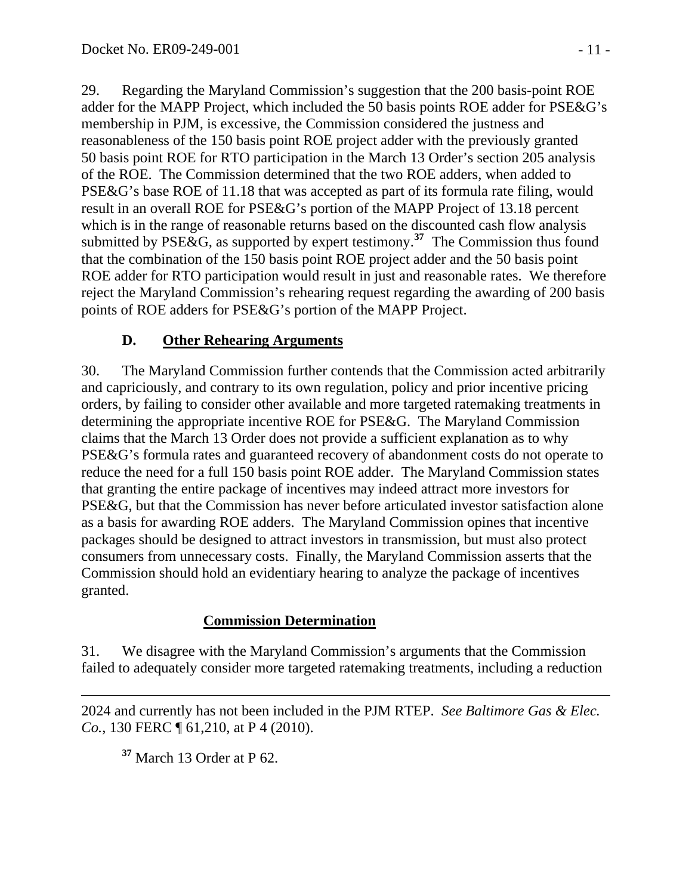29. Regarding the Maryland Commission's suggestion that the 200 basis-point ROE adder for the MAPP Project, which included the 50 basis points ROE adder for PSE&G's membership in PJM, is excessive, the Commission considered the justness and reasonableness of the 150 basis point ROE project adder with the previously granted 50 basis point ROE for RTO participation in the March 13 Order's section 205 analysis of the ROE. The Commission determined that the two ROE adders, when added to PSE&G's base ROE of 11.18 that was accepted as part of its formula rate filing, would result in an overall ROE for PSE&G's portion of the MAPP Project of 13.18 percent which is in the range of reasonable returns based on the discounted cash flow analysis submitted by PSE&G, as supported by expert testimony.**[37](#page-10-0)** The Commission thus found that the combination of the 150 basis point ROE project adder and the 50 basis point ROE adder for RTO participation would result in just and reasonable rates. We therefore reject the Maryland Commission's rehearing request regarding the awarding of 200 basis points of ROE adders for PSE&G's portion of the MAPP Project.

# **D. Other Rehearing Arguments**

30. The Maryland Commission further contends that the Commission acted arbitrarily and capriciously, and contrary to its own regulation, policy and prior incentive pricing orders, by failing to consider other available and more targeted ratemaking treatments in determining the appropriate incentive ROE for PSE&G. The Maryland Commission claims that the March 13 Order does not provide a sufficient explanation as to why PSE&G's formula rates and guaranteed recovery of abandonment costs do not operate to reduce the need for a full 150 basis point ROE adder. The Maryland Commission states that granting the entire package of incentives may indeed attract more investors for PSE&G, but that the Commission has never before articulated investor satisfaction alone as a basis for awarding ROE adders. The Maryland Commission opines that incentive packages should be designed to attract investors in transmission, but must also protect consumers from unnecessary costs. Finally, the Maryland Commission asserts that the Commission should hold an evidentiary hearing to analyze the package of incentives granted.

### **Commission Determination**

31. We disagree with the Maryland Commission's arguments that the Commission failed to adequately consider more targeted ratemaking treatments, including a reduction

<span id="page-10-0"></span> $\overline{a}$ 2024 and currently has not been included in the PJM RTEP. *See Baltimore Gas & Elec. Co.*, 130 FERC  $\P$  61, 210, at P 4 (2010).

**<sup>37</sup>** March 13 Order at P 62.